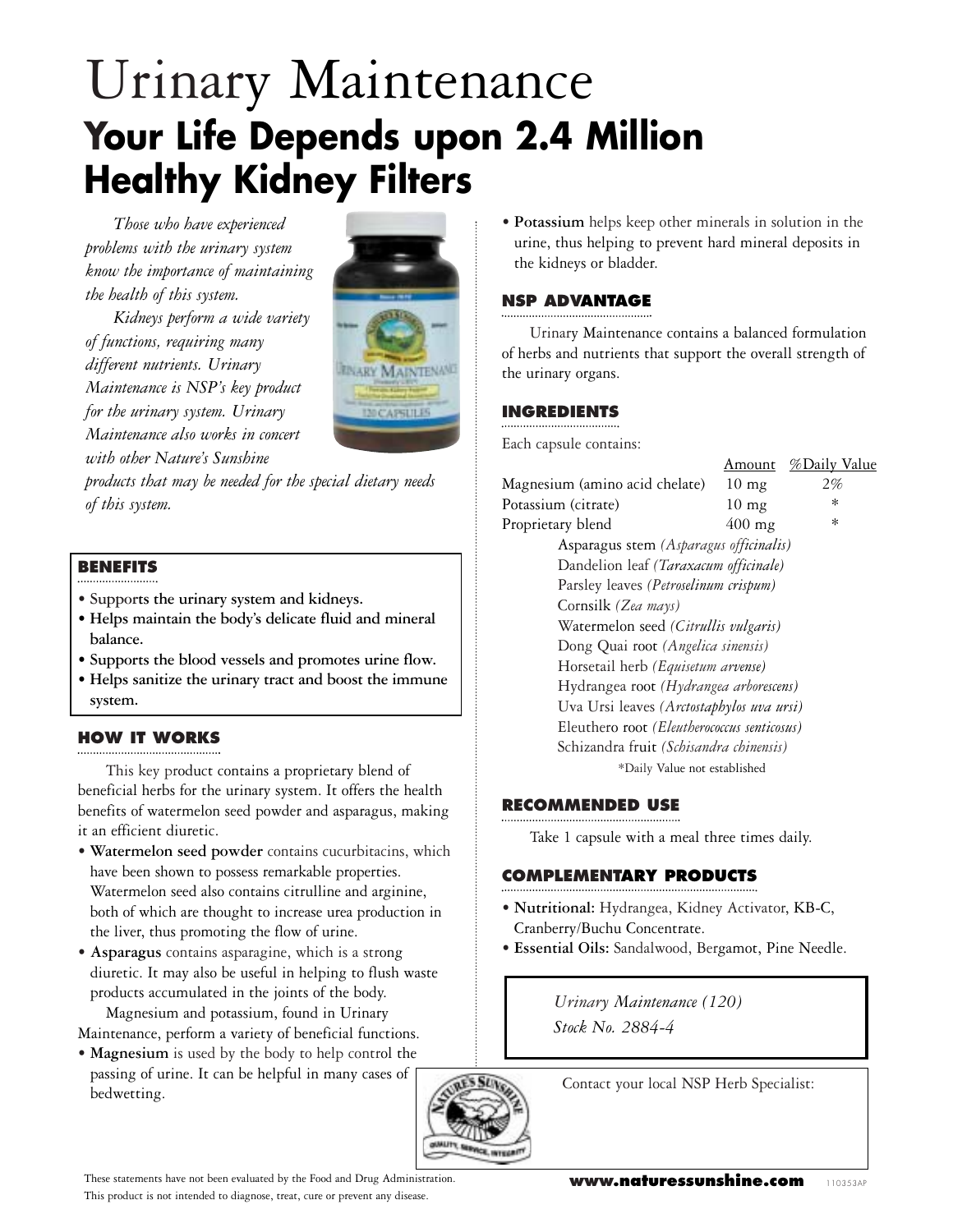# Urinary Maintenance **Your Life Depends upon 2.4 Million Healthy Kidney Filters**

*Those who have experienced problems with the urinary system know the importance of maintaining the health of this system.*

*Kidneys perform a wide variety of functions, requiring many different nutrients. Urinary Maintenance is NSP's key product for the urinary system. Urinary Maintenance also works in concert with other Nature's Sunshine*



*products that may be needed for the special dietary needs of this system.*

## **BENEFITS**

- **Supports the urinary system and kidneys.**
- **Helps maintain the body's delicate fluid and mineral balance.**
- **Supports the blood vessels and promotes urine flow.**
- **Helps sanitize the urinary tract and boost the immune system.**

#### **HOW IT WORKS**

This key product contains a proprietary blend of beneficial herbs for the urinary system. It offers the health benefits of watermelon seed powder and asparagus, making it an efficient diuretic.

- **• Watermelon seed powder** contains cucurbitacins, which have been shown to possess remarkable properties. Watermelon seed also contains citrulline and arginine, both of which are thought to increase urea production in the liver, thus promoting the flow of urine.
- **• Asparagus** contains asparagine, which is a strong diuretic. It may also be useful in helping to flush waste products accumulated in the joints of the body.

Magnesium and potassium, found in Urinary Maintenance, perform a variety of beneficial functions.

**• Magnesium** is used by the body to help control the passing of urine. It can be helpful in many cases of bedwetting.

**• Potassium** helps keep other minerals in solution in the urine, thus helping to prevent hard mineral deposits in the kidneys or bladder.

### **NSP ADVANTAGE**

Urinary Maintenance contains a balanced formulation of herbs and nutrients that support the overall strength of the urinary organs.

#### **INGREDIENTS**

Each capsule contains:

|                                |                                             | Amount          | %Daily Value |
|--------------------------------|---------------------------------------------|-----------------|--------------|
| Magnesium (amino acid chelate) |                                             | $10 \text{ mg}$ | 2%           |
| Potassium (citrate)            |                                             | $10 \text{ mg}$ | $\ast$       |
| Proprietary blend              |                                             | $400$ mg        | $\ast$       |
|                                | Asparagus stem (Asparagus officinalis)      |                 |              |
|                                | Dandelion leaf (Taraxacum officinale)       |                 |              |
|                                | Parsley leaves (Petroselinum crispum)       |                 |              |
| Cornsilk (Zea mays)            |                                             |                 |              |
|                                | Watermelon seed (Citrullis vulgaris)        |                 |              |
|                                | Dong Quai root (Angelica sinensis)          |                 |              |
|                                | Horsetail herb (Equisetum arvense)          |                 |              |
|                                | Hydrangea root (Hydrangea arborescens)      |                 |              |
|                                | Uva Ursi leaves (Arctostaphylos uva ursi)   |                 |              |
|                                | Eleuthero root (Eleutherococcus senticosus) |                 |              |
|                                | Schizandra fruit (Schisandra chinensis)     |                 |              |
|                                | *Daily Value not established                |                 |              |
|                                |                                             |                 |              |

# **RECOMMENDED USE**

Take 1 capsule with a meal three times daily.

## **COMPLEMENTARY PRODUCTS**

- **• Nutritional:** Hydrangea, Kidney Activator, KB-C, Cranberry/Buchu Concentrate.
- **• Essential Oils:** Sandalwood, Bergamot, Pine Needle.

*Urinary Maintenance (120) Stock No. 2884-4*

Contact your local NSP Herb Specialist:



These statements have not been evaluated by the Food and Drug Administration. This product is not intended to diagnose, treat, cure or prevent any disease.